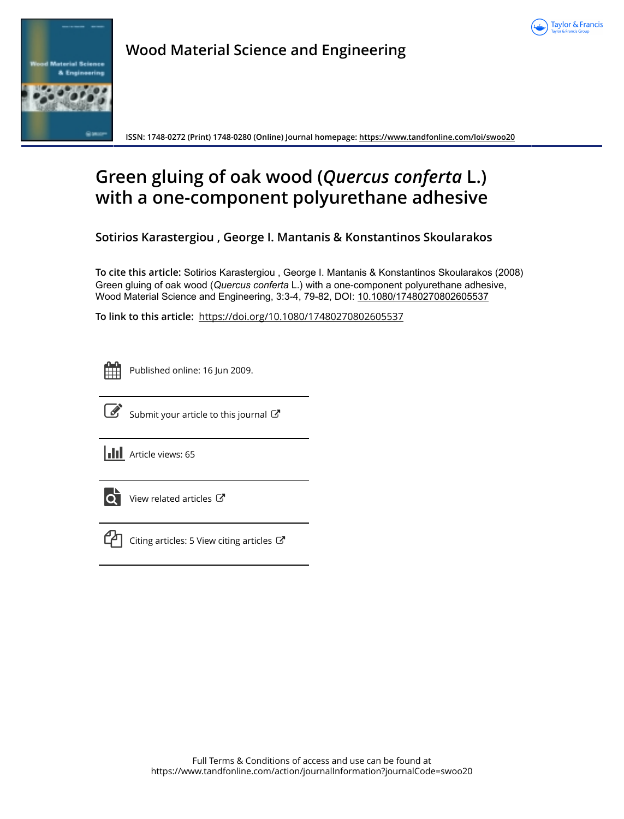



**Wood Material Science and Engineering**

**ISSN: 1748-0272 (Print) 1748-0280 (Online) Journal homepage:<https://www.tandfonline.com/loi/swoo20>**

# **Green gluing of oak wood (***Quercus conferta* **L.) with a one-component polyurethane adhesive**

**Sotirios Karastergiou , George I. Mantanis & Konstantinos Skoularakos**

**To cite this article:** Sotirios Karastergiou , George I. Mantanis & Konstantinos Skoularakos (2008) Green gluing of oak wood (Quercus conferta L.) with a one-component polyurethane adhesive, Wood Material Science and Engineering, 3:3-4, 79-82, DOI: [10.1080/17480270802605537](https://www.tandfonline.com/action/showCitFormats?doi=10.1080/17480270802605537)

**To link to this article:** <https://doi.org/10.1080/17480270802605537>

| --<br>_ |  |  |  |  |  |  |
|---------|--|--|--|--|--|--|
|         |  |  |  |  |  |  |
|         |  |  |  |  |  |  |
|         |  |  |  |  |  |  |

Published online: 16 Jun 2009.



 $\overrightarrow{S}$  [Submit your article to this journal](https://www.tandfonline.com/action/authorSubmission?journalCode=swoo20&show=instructions)  $\overrightarrow{S}$ 

**III** Article views: 65



 $\overline{Q}$  [View related articles](https://www.tandfonline.com/doi/mlt/10.1080/17480270802605537)  $\overline{C}$ 



 $\mathbb{C}$  [Citing articles: 5 View citing articles](https://www.tandfonline.com/doi/citedby/10.1080/17480270802605537#tabModule)  $\mathbb{C}$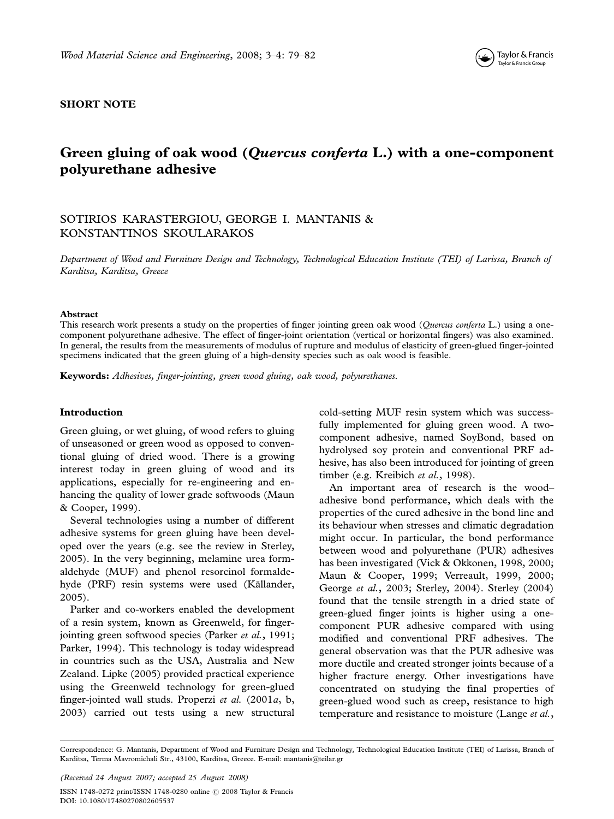

## SHORT NOTE

# Green gluing of oak wood (Quercus conferta L.) with a one-component polyurethane adhesive

# SOTIRIOS KARASTERGIOU, GEORGE I. MANTANIS & KONSTANTINOS SKOULARAKOS

Department of Wood and Furniture Design and Technology, Technological Education Institute (TEI) of Larissa, Branch of Karditsa, Karditsa, Greece

#### Abstract

This research work presents a study on the properties of finger jointing green oak wood (Ouercus conferta L.) using a onecomponent polyurethane adhesive. The effect of finger-joint orientation (vertical or horizontal fingers) was also examined. In general, the results from the measurements of modulus of rupture and modulus of elasticity of green-glued finger-jointed specimens indicated that the green gluing of a high-density species such as oak wood is feasible.

Keywords: Adhesives, finger-jointing, green wood gluing, oak wood, polyurethanes.

#### Introduction

Green gluing, or wet gluing, of wood refers to gluing of unseasoned or green wood as opposed to conventional gluing of dried wood. There is a growing interest today in green gluing of wood and its applications, especially for re-engineering and enhancing the quality of lower grade softwoods (Maun & Cooper, 1999).

Several technologies using a number of different adhesive systems for green gluing have been developed over the years (e.g. see the review in Sterley, 2005). In the very beginning, melamine urea formaldehyde (MUF) and phenol resorcinol formaldehyde (PRF) resin systems were used (Källander, 2005).

Parker and co-workers enabled the development of a resin system, known as Greenweld, for fingerjointing green softwood species (Parker *et al.*, 1991; Parker, 1994). This technology is today widespread in countries such as the USA, Australia and New Zealand. Lipke (2005) provided practical experience using the Greenweld technology for green-glued finger-jointed wall studs. Properzi et al. (2001a, b, 2003) carried out tests using a new structural cold-setting MUF resin system which was successfully implemented for gluing green wood. A twocomponent adhesive, named SoyBond, based on hydrolysed soy protein and conventional PRF adhesive, has also been introduced for jointing of green timber (e.g. Kreibich et al., 1998).

An important area of research is the wood adhesive bond performance, which deals with the properties of the cured adhesive in the bond line and its behaviour when stresses and climatic degradation might occur. In particular, the bond performance between wood and polyurethane (PUR) adhesives has been investigated (Vick & Okkonen, 1998, 2000; Maun & Cooper, 1999; Verreault, 1999, 2000; George et al., 2003; Sterley, 2004). Sterley (2004) found that the tensile strength in a dried state of green-glued finger joints is higher using a onecomponent PUR adhesive compared with using modified and conventional PRF adhesives. The general observation was that the PUR adhesive was more ductile and created stronger joints because of a higher fracture energy. Other investigations have concentrated on studying the final properties of green-glued wood such as creep, resistance to high temperature and resistance to moisture (Lange et al.,

(Received 24 August 2007; accepted 25 August 2008)

ISSN 1748-0272 print/ISSN 1748-0280 online © 2008 Taylor & Francis DOI: 10.1080/17480270802605537

Correspondence: G. Mantanis, Department of Wood and Furniture Design and Technology, Technological Education Institute (TEI) of Larissa, Branch of Karditsa, Terma Mavromichali Str., 43100, Karditsa, Greece. E-mail: mantanis@teilar.gr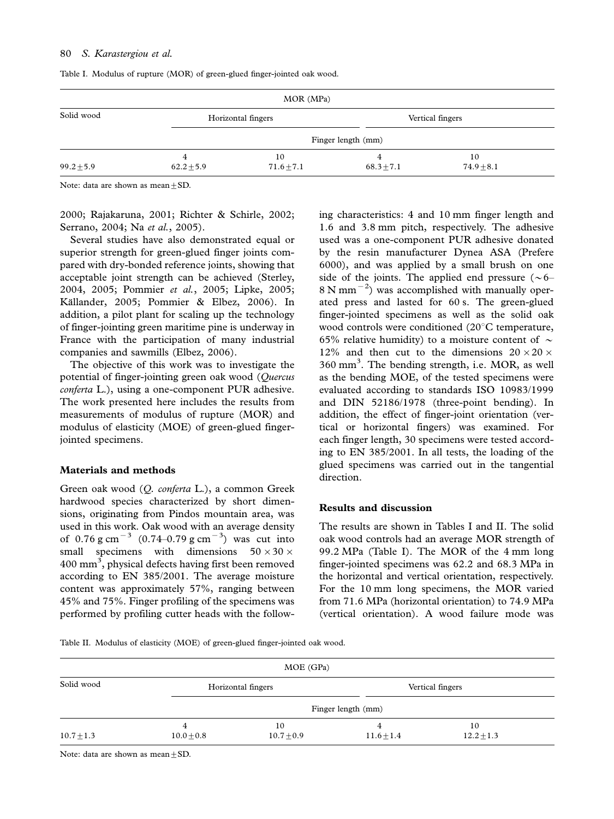| MOR (MPa)      |                     |                      |                     |                      |  |  |  |
|----------------|---------------------|----------------------|---------------------|----------------------|--|--|--|
| Solid wood     | Horizontal fingers  |                      | Vertical fingers    |                      |  |  |  |
|                |                     | Finger length (mm)   |                     |                      |  |  |  |
| $99.2 \pm 5.9$ | 4<br>$62.2 \pm 5.9$ | 10<br>$71.6 \pm 7.1$ | 4<br>$68.3 \pm 7.1$ | 10<br>$74.9 \pm 8.1$ |  |  |  |

Table I. Modulus of rupture (MOR) of green-glued finger-jointed oak wood.

Note: data are shown as mean  $+SD$ .

2000; Rajakaruna, 2001; Richter & Schirle, 2002; Serrano, 2004; Na et al., 2005).

Several studies have also demonstrated equal or superior strength for green-glued finger joints compared with dry-bonded reference joints, showing that acceptable joint strength can be achieved (Sterley, 2004, 2005; Pommier et al., 2005; Lipke, 2005; Källander, 2005; Pommier & Elbez, 2006). In addition, a pilot plant for scaling up the technology of finger-jointing green maritime pine is underway in France with the participation of many industrial companies and sawmills (Elbez, 2006).

The objective of this work was to investigate the potential of finger-jointing green oak wood (Quercus conferta L.), using a one-component PUR adhesive. The work presented here includes the results from measurements of modulus of rupture (MOR) and modulus of elasticity (MOE) of green-glued fingerjointed specimens.

#### Materials and methods

Green oak wood (Q. conferta L.), a common Greek hardwood species characterized by short dimensions, originating from Pindos mountain area, was used in this work. Oak wood with an average density of  $0.76 \text{ g cm}^{-3}$   $(0.74 - 0.79 \text{ g cm}^{-3})$  was cut into small specimens with dimensions  $50 \times 30 \times$  $400 \text{ mm}^3$ , physical defects having first been removed according to EN 385/2001. The average moisture content was approximately 57%, ranging between 45% and 75%. Finger profiling of the specimens was performed by profiling cutter heads with the following characteristics: 4 and 10 mm finger length and 1.6 and 3.8 mm pitch, respectively. The adhesive used was a one-component PUR adhesive donated by the resin manufacturer Dynea ASA (Prefere 6000), and was applied by a small brush on one side of the joints. The applied end pressure  $(\sim 6 8 \text{ N mm}^{-2}$ ) was accomplished with manually operated press and lasted for 60 s. The green-glued finger-jointed specimens as well as the solid oak wood controls were conditioned  $(20^{\circ}$ C temperature, 65% relative humidity) to a moisture content of  $\sim$ 12% and then cut to the dimensions  $20 \times 20 \times$ 360 mm<sup>3</sup>. The bending strength, i.e. MOR, as well as the bending MOE, of the tested specimens were evaluated according to standards ISO 10983/1999 and DIN 52186/1978 (three-point bending). In addition, the effect of finger-joint orientation (vertical or horizontal fingers) was examined. For each finger length, 30 specimens were tested according to EN 385/2001. In all tests, the loading of the glued specimens was carried out in the tangential direction.

#### Results and discussion

The results are shown in Tables I and II. The solid oak wood controls had an average MOR strength of 99.2 MPa (Table I). The MOR of the 4 mm long finger-jointed specimens was 62.2 and 68.3 MPa in the horizontal and vertical orientation, respectively. For the 10 mm long specimens, the MOR varied from 71.6 MPa (horizontal orientation) to 74.9 MPa (vertical orientation). A wood failure mode was

Table II. Modulus of elasticity (MOE) of green-glued finger-jointed oak wood.

| MOE (GPa)      |                     |                      |                     |                      |  |  |  |
|----------------|---------------------|----------------------|---------------------|----------------------|--|--|--|
| Solid wood     | Horizontal fingers  |                      | Vertical fingers    |                      |  |  |  |
|                |                     | Finger length (mm)   |                     |                      |  |  |  |
| $10.7 \pm 1.3$ | 4<br>$10.0 \pm 0.8$ | 10<br>$10.7 \pm 0.9$ | 4<br>$11.6 \pm 1.4$ | 10<br>$12.2 \pm 1.3$ |  |  |  |

Note: data are shown as mean $\pm$ SD.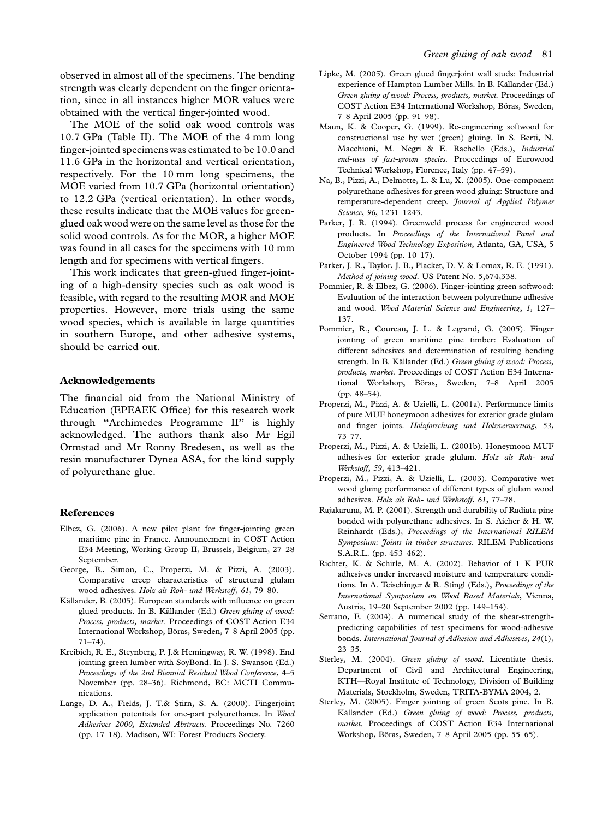observed in almost all of the specimens. The bending strength was clearly dependent on the finger orientation, since in all instances higher MOR values were obtained with the vertical finger-jointed wood.

The MOE of the solid oak wood controls was 10.7 GPa (Table II). The MOE of the 4 mm long finger-jointed specimens was estimated to be 10.0 and 11.6 GPa in the horizontal and vertical orientation, respectively. For the 10 mm long specimens, the MOE varied from 10.7 GPa (horizontal orientation) to 12.2 GPa (vertical orientation). In other words, these results indicate that the MOE values for greenglued oak wood were on the same level as those for the solid wood controls. As for the MOR, a higher MOE was found in all cases for the specimens with 10 mm length and for specimens with vertical fingers.

This work indicates that green-glued finger-jointing of a high-density species such as oak wood is feasible, with regard to the resulting MOR and MOE properties. However, more trials using the same wood species, which is available in large quantities in southern Europe, and other adhesive systems, should be carried out.

#### Acknowledgements

The financial aid from the National Ministry of Education (EPEAEK Office) for this research work through ''Archimedes Programme II'' is highly acknowledged. The authors thank also Mr Egil Ormstad and Mr Ronny Bredesen, as well as the resin manufacturer Dynea ASA, for the kind supply of polyurethane glue.

#### References

- Elbez, G. (2006). A new pilot plant for finger-jointing green maritime pine in France. Announcement in COST Action E34 Meeting, Working Group II, Brussels, Belgium, 27-28 September.
- George, B., Simon, C., Properzi, M. & Pizzi, A. (2003). Comparative creep characteristics of structural glulam wood adhesives. Holz als Roh- und Werkstoff, 61, 79-80.
- Källander, B. (2005). European standards with influence on green glued products. In B. Källander (Ed.) Green gluing of wood: Process, products, market. Proceedings of COST Action E34 International Workshop, Böras, Sweden, 7-8 April 2005 (pp.  $71 - 74$ .
- Kreibich, R. E., Steynberg, P. J.& Hemingway, R. W. (1998). End jointing green lumber with SoyBond. In J. S. Swanson (Ed.) Proceedings of the 2nd Biennial Residual Wood Conference, 4-5 November (pp. 28-36). Richmond, BC: MCTI Communications.
- Lange, D. A., Fields, J. T.& Stirn, S. A. (2000). Fingerjoint application potentials for one-part polyurethanes. In Wood Adhesives 2000, Extended Abstracts. Proceedings No. 7260 (pp.  $17-18$ ). Madison, WI: Forest Products Society.
- Lipke, M. (2005). Green glued fingerjoint wall studs: Industrial experience of Hampton Lumber Mills. In B. Källander (Ed.) Green gluing of wood: Process, products, market. Proceedings of COST Action E34 International Workshop, Böras, Sweden, 7-8 April 2005 (pp. 91-98).
- Maun, K. & Cooper, G. (1999). Re-engineering softwood for constructional use by wet (green) gluing. In S. Berti, N. Macchioni, M. Negri & E. Rachello (Eds.), Industrial end-uses of fast-grown species. Proceedings of Eurowood Technical Workshop, Florence, Italy (pp. 47-59).
- Na, B., Pizzi, A., Delmotte, L. & Lu, X. (2005). One-component polyurethane adhesives for green wood gluing: Structure and temperature-dependent creep. Journal of Applied Polymer Science, 96, 1231-1243.
- Parker, J. R. (1994). Greenweld process for engineered wood products. In Proceedings of the International Panel and Engineered Wood Technology Exposition, Atlanta, GA, USA, 5 October 1994 (pp. 10-17).
- Parker, J. R., Taylor, J. B., Placket, D. V. & Lomax, R. E. (1991). Method of joining wood. US Patent No. 5,674,338.
- Pommier, R. & Elbez, G. (2006). Finger-jointing green softwood: Evaluation of the interaction between polyurethane adhesive and wood. Wood Material Science and Engineering, 1, 127-137.
- Pommier, R., Coureau, J. L. & Legrand, G. (2005). Finger jointing of green maritime pine timber: Evaluation of different adhesives and determination of resulting bending strength. In B. Källander (Ed.) Green gluing of wood: Process, products, market. Proceedings of COST Action E34 International Workshop, Böras, Sweden, 7-8 April 2005  $(pp. 48-54)$ .
- Properzi, M., Pizzi, A. & Uzielli, L. (2001a). Performance limits of pure MUF honeymoon adhesives for exterior grade glulam and finger joints. Holzforschung und Holzverwertung, 53,  $73 - 77$ .
- Properzi, M., Pizzi, A. & Uzielli, L. (2001b). Honeymoon MUF adhesives for exterior grade glulam. Holz als Roh- und Werkstoff, 59, 413-421.
- Properzi, M., Pizzi, A. & Uzielli, L. (2003). Comparative wet wood gluing performance of different types of glulam wood adhesives. Holz als Roh- und Werkstoff, 61, 77-78.
- Rajakaruna, M. P. (2001). Strength and durability of Radiata pine bonded with polyurethane adhesives. In S. Aicher & H. W. Reinhardt (Eds.), Proceedings of the International RILEM Symposium: Joints in timber structures. RILEM Publications S.A.R.L. (pp. 453-462).
- Richter, K. & Schirle, M. A. (2002). Behavior of 1 K PUR adhesives under increased moisture and temperature conditions. In A. Teischinger & R. Stingl (Eds.), Proceedings of the International Symposium on Wood Based Materials, Vienna, Austria, 19-20 September 2002 (pp. 149-154).
- Serrano, E. (2004). A numerical study of the shear-strengthpredicting capabilities of test specimens for wood-adhesive bonds. International Journal of Adhesion and Adhesives, 24(1),  $23 - 35$ .
- Sterley, M. (2004). Green gluing of wood. Licentiate thesis. Department of Civil and Architectural Engineering, KTH-Royal Institute of Technology, Division of Building Materials, Stockholm, Sweden, TRITA-BYMA 2004, 2.
- Sterley, M. (2005). Finger jointing of green Scots pine. In B. Källander (Ed.) Green gluing of wood: Process, products, market. Proceedings of COST Action E34 International Workshop, Böras, Sweden, 7-8 April 2005 (pp. 55-65).